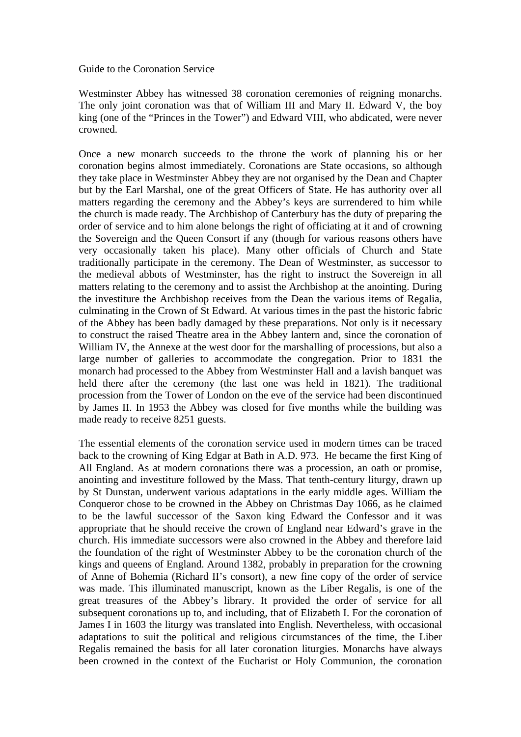Guide to the Coronation Service

Westminster Abbey has witnessed 38 coronation ceremonies of reigning monarchs. The only joint coronation was that of William III and Mary II. Edward V, the boy king (one of the "Princes in the Tower") and Edward VIII, who abdicated, were never crowned.

Once a new monarch succeeds to the throne the work of planning his or her coronation begins almost immediately. Coronations are State occasions, so although they take place in Westminster Abbey they are not organised by the Dean and Chapter but by the Earl Marshal, one of the great Officers of State. He has authority over all matters regarding the ceremony and the Abbey's keys are surrendered to him while the church is made ready. The Archbishop of Canterbury has the duty of preparing the order of service and to him alone belongs the right of officiating at it and of crowning the Sovereign and the Queen Consort if any (though for various reasons others have very occasionally taken his place). Many other officials of Church and State traditionally participate in the ceremony. The Dean of Westminster, as successor to the medieval abbots of Westminster, has the right to instruct the Sovereign in all matters relating to the ceremony and to assist the Archbishop at the anointing. During the investiture the Archbishop receives from the Dean the various items of Regalia, culminating in the Crown of St Edward. At various times in the past the historic fabric of the Abbey has been badly damaged by these preparations. Not only is it necessary to construct the raised Theatre area in the Abbey lantern and, since the coronation of William IV, the Annexe at the west door for the marshalling of processions, but also a large number of galleries to accommodate the congregation. Prior to 1831 the monarch had processed to the Abbey from Westminster Hall and a lavish banquet was held there after the ceremony (the last one was held in 1821). The traditional procession from the Tower of London on the eve of the service had been discontinued by James II. In 1953 the Abbey was closed for five months while the building was made ready to receive 8251 guests.

The essential elements of the coronation service used in modern times can be traced back to the crowning of King Edgar at Bath in A.D. 973. He became the first King of All England. As at modern coronations there was a procession, an oath or promise, anointing and investiture followed by the Mass. That tenth-century liturgy, drawn up by St Dunstan, underwent various adaptations in the early middle ages. William the Conqueror chose to be crowned in the Abbey on Christmas Day 1066, as he claimed to be the lawful successor of the Saxon king Edward the Confessor and it was appropriate that he should receive the crown of England near Edward's grave in the church. His immediate successors were also crowned in the Abbey and therefore laid the foundation of the right of Westminster Abbey to be the coronation church of the kings and queens of England. Around 1382, probably in preparation for the crowning of Anne of Bohemia (Richard II's consort), a new fine copy of the order of service was made. This illuminated manuscript, known as the Liber Regalis, is one of the great treasures of the Abbey's library. It provided the order of service for all subsequent coronations up to, and including, that of Elizabeth I. For the coronation of James I in 1603 the liturgy was translated into English. Nevertheless, with occasional adaptations to suit the political and religious circumstances of the time, the Liber Regalis remained the basis for all later coronation liturgies. Monarchs have always been crowned in the context of the Eucharist or Holy Communion, the coronation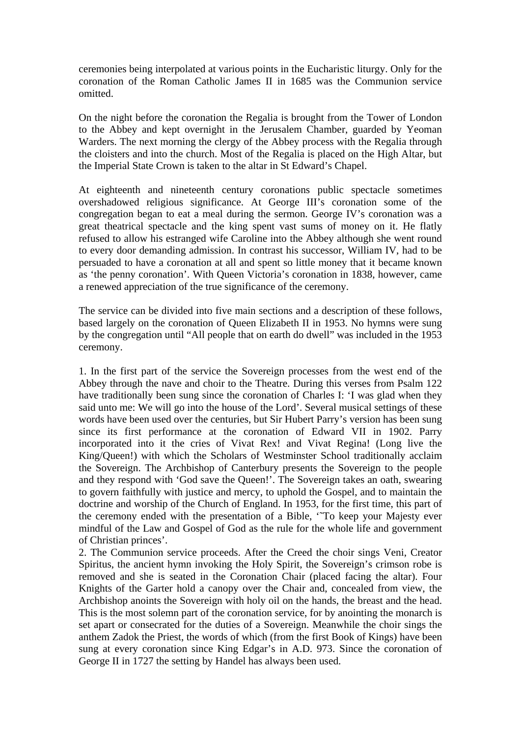ceremonies being interpolated at various points in the Eucharistic liturgy. Only for the coronation of the Roman Catholic James II in 1685 was the Communion service omitted.

On the night before the coronation the Regalia is brought from the Tower of London to the Abbey and kept overnight in the Jerusalem Chamber, guarded by Yeoman Warders. The next morning the clergy of the Abbey process with the Regalia through the cloisters and into the church. Most of the Regalia is placed on the High Altar, but the Imperial State Crown is taken to the altar in St Edward's Chapel.

At eighteenth and nineteenth century coronations public spectacle sometimes overshadowed religious significance. At George III's coronation some of the congregation began to eat a meal during the sermon. George IV's coronation was a great theatrical spectacle and the king spent vast sums of money on it. He flatly refused to allow his estranged wife Caroline into the Abbey although she went round to every door demanding admission. In contrast his successor, William IV, had to be persuaded to have a coronation at all and spent so little money that it became known as 'the penny coronation'. With Queen Victoria's coronation in 1838, however, came a renewed appreciation of the true significance of the ceremony.

The service can be divided into five main sections and a description of these follows, based largely on the coronation of Queen Elizabeth II in 1953. No hymns were sung by the congregation until "All people that on earth do dwell" was included in the 1953 ceremony.

1. In the first part of the service the Sovereign processes from the west end of the Abbey through the nave and choir to the Theatre. During this verses from Psalm 122 have traditionally been sung since the coronation of Charles I: 'I was glad when they said unto me: We will go into the house of the Lord'. Several musical settings of these words have been used over the centuries, but Sir Hubert Parry's version has been sung since its first performance at the coronation of Edward VII in 1902. Parry incorporated into it the cries of Vivat Rex! and Vivat Regina! (Long live the King/Queen!) with which the Scholars of Westminster School traditionally acclaim the Sovereign. The Archbishop of Canterbury presents the Sovereign to the people and they respond with 'God save the Queen!'. The Sovereign takes an oath, swearing to govern faithfully with justice and mercy, to uphold the Gospel, and to maintain the doctrine and worship of the Church of England. In 1953, for the first time, this part of the ceremony ended with the presentation of a Bible, 'To keep your Majesty ever mindful of the Law and Gospel of God as the rule for the whole life and government of Christian princes'.

2. The Communion service proceeds. After the Creed the choir sings Veni, Creator Spiritus, the ancient hymn invoking the Holy Spirit, the Sovereign's crimson robe is removed and she is seated in the Coronation Chair (placed facing the altar). Four Knights of the Garter hold a canopy over the Chair and, concealed from view, the Archbishop anoints the Sovereign with holy oil on the hands, the breast and the head. This is the most solemn part of the coronation service, for by anointing the monarch is set apart or consecrated for the duties of a Sovereign. Meanwhile the choir sings the anthem Zadok the Priest, the words of which (from the first Book of Kings) have been sung at every coronation since King Edgar's in A.D. 973. Since the coronation of George II in 1727 the setting by Handel has always been used.